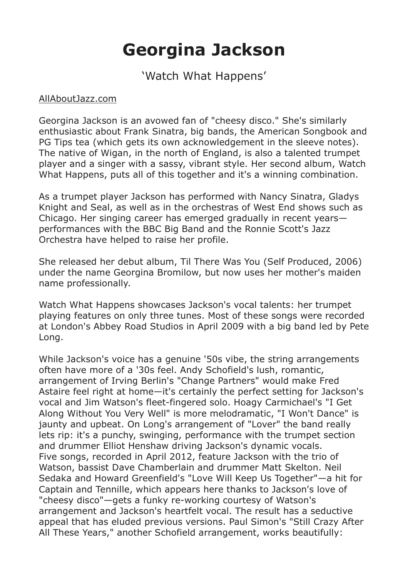## **Georgina Jackson**

'Watch What Happens'

## AllAboutJazz.com

Georgina Jackson is an avowed fan of "cheesy disco." She's similarly enthusiastic about Frank Sinatra, big bands, the American Songbook and PG Tips tea (which gets its own acknowledgement in the sleeve notes). The native of Wigan, in the north of England, is also a talented trumpet player and a singer with a sassy, vibrant style. Her second album, Watch What Happens, puts all of this together and it's a winning combination.

As a trumpet player Jackson has performed with Nancy Sinatra, Gladys Knight and Seal, as well as in the orchestras of West End shows such as Chicago. Her singing career has emerged gradually in recent years performances with the BBC Big Band and the Ronnie Scott's Jazz Orchestra have helped to raise her profile.

She released her debut album, Til There Was You (Self Produced, 2006) under the name Georgina Bromilow, but now uses her mother's maiden name professionally.

Watch What Happens showcases Jackson's vocal talents: her trumpet playing features on only three tunes. Most of these songs were recorded at London's Abbey Road Studios in April 2009 with a big band led by Pete Long.

While Jackson's voice has a genuine '50s vibe, the string arrangements often have more of a '30s feel. Andy Schofield's lush, romantic, arrangement of Irving Berlin's "Change Partners" would make Fred Astaire feel right at home—it's certainly the perfect setting for Jackson's vocal and Jim Watson's fleet-fingered solo. Hoagy Carmichael's "I Get Along Without You Very Well" is more melodramatic, "I Won't Dance" is jaunty and upbeat. On Long's arrangement of "Lover" the band really lets rip: it's a punchy, swinging, performance with the trumpet section and drummer Elliot Henshaw driving Jackson's dynamic vocals. Five songs, recorded in April 2012, feature Jackson with the trio of Watson, bassist Dave Chamberlain and drummer Matt Skelton. Neil Sedaka and Howard Greenfield's "Love Will Keep Us Together"—a hit for Captain and Tennille, which appears here thanks to Jackson's love of "cheesy disco"—gets a funky re-working courtesy of Watson's arrangement and Jackson's heartfelt vocal. The result has a seductive appeal that has eluded previous versions. Paul Simon's "Still Crazy After All These Years," another Schofield arrangement, works beautifully: